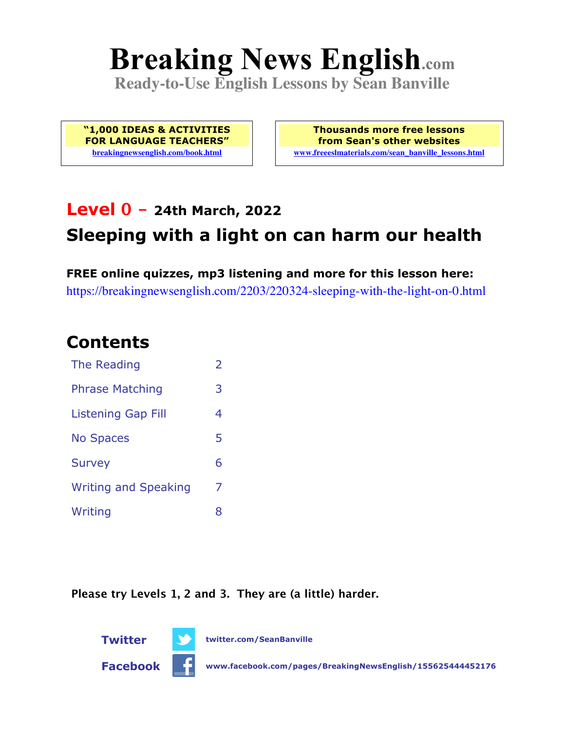# **Breaking News English.com**

**Ready-to-Use English Lessons by Sean Banville**

**"1,000 IDEAS & ACTIVITIES FOR LANGUAGE TEACHERS" breakingnewsenglish.com/book.html**

**Thousands more free lessons from Sean's other websites www.freeeslmaterials.com/sean\_banville\_lessons.html**

## **Level 0 - 24th March, 2022**

### **Sleeping with a light on can harm our health**

**FREE online quizzes, mp3 listening and more for this lesson here:** https://breakingnewsenglish.com/2203/220324-sleeping-with-the-light-on-0.html

### **Contents**

| The Reading                 | $\overline{\phantom{a}}$ |
|-----------------------------|--------------------------|
| <b>Phrase Matching</b>      | 3                        |
| Listening Gap Fill          | 4                        |
| <b>No Spaces</b>            | 5                        |
| <b>Survey</b>               | 6                        |
| <b>Writing and Speaking</b> | 7                        |
| Writing                     | 8                        |

**Please try Levels 1, 2 and 3. They are (a little) harder.**



**Twitter twitter.com/SeanBanville**

**Facebook www.facebook.com/pages/BreakingNewsEnglish/155625444452176**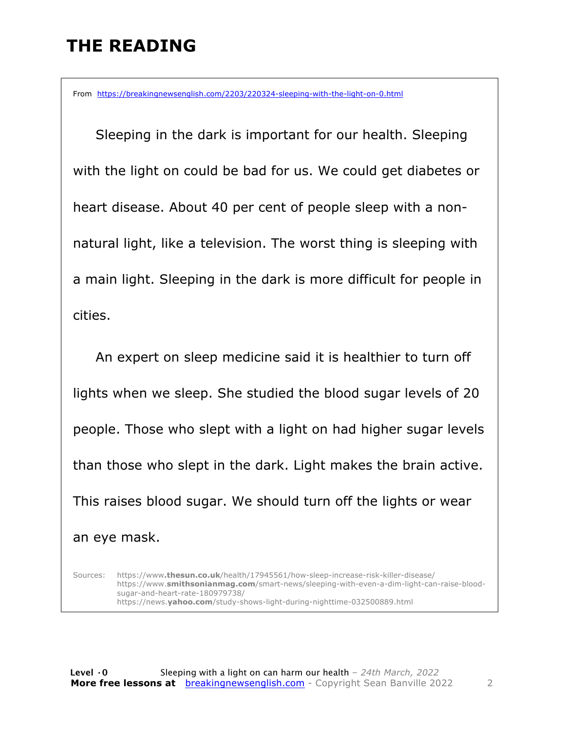### **THE READING**

From https://breakingnewsenglish.com/2203/220324-sleeping-with-the-light-on-0.html

 Sleeping in the dark is important for our health. Sleeping with the light on could be bad for us. We could get diabetes or heart disease. About 40 per cent of people sleep with a nonnatural light, like a television. The worst thing is sleeping with a main light. Sleeping in the dark is more difficult for people in cities.

An expert on sleep medicine said it is healthier to turn off lights when we sleep. She studied the blood sugar levels of 20 people. Those who slept with a light on had higher sugar levels than those who slept in the dark. Light makes the brain active. This raises blood sugar. We should turn off the lights or wear an eye mask.

Sources: https://www**.thesun.co.uk**/health/17945561/how-sleep-increase-risk-killer-disease/ https://www.**smithsonianmag.com**/smart-news/sleeping-with-even-a-dim-light-can-raise-bloodsugar-and-heart-rate-180979738/ https://news.**yahoo.com**/study-shows-light-during-nighttime-032500889.html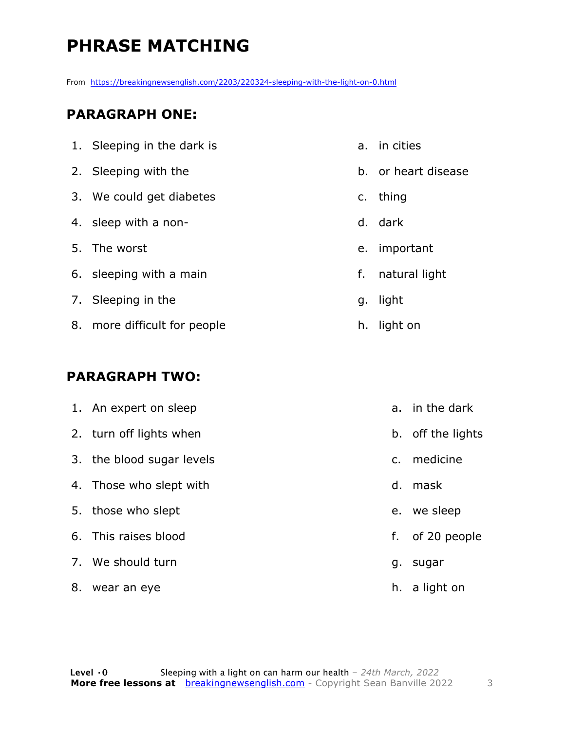### **PHRASE MATCHING**

From https://breakingnewsenglish.com/2203/220324-sleeping-with-the-light-on-0.html

#### **PARAGRAPH ONE:**

| 1. Sleeping in the dark is   |         | a. in cities        |
|------------------------------|---------|---------------------|
| 2. Sleeping with the         |         | b. or heart disease |
| 3. We could get diabetes     | $C_{1}$ | thing               |
| 4. sleep with a non-         |         | d. dark             |
| 5. The worst                 | e.      | important           |
| 6. sleeping with a main      | f.      | natural light       |
| 7. Sleeping in the           |         | g. light            |
| 8. more difficult for people | h.      | light on            |

#### **PARAGRAPH TWO:**

| 1. An expert on sleep     |         | a. in the dark    |
|---------------------------|---------|-------------------|
| 2. turn off lights when   |         | b. off the lights |
| 3. the blood sugar levels | $C_{1}$ | medicine          |
| 4. Those who slept with   |         | d. mask           |
| 5. those who slept        |         | e. we sleep       |
| 6. This raises blood      |         | f. of 20 people   |
| 7. We should turn         |         | g. sugar          |
| 8. wear an eye            |         | h. a light on     |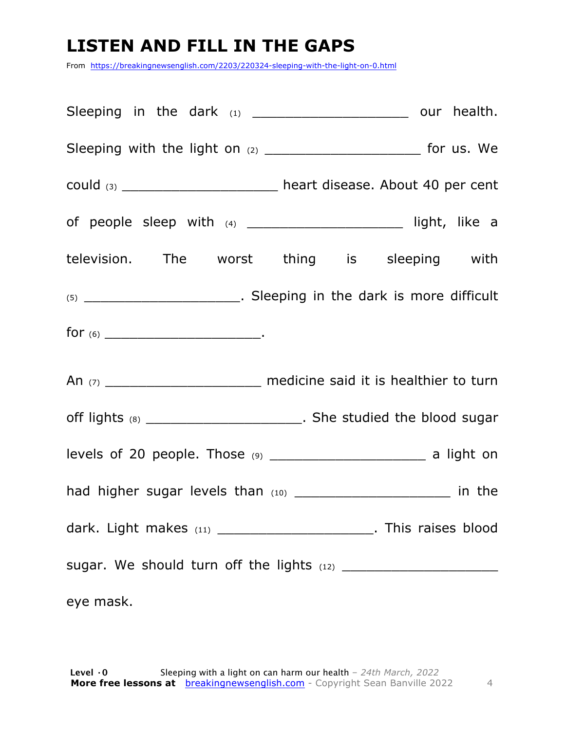### **LISTEN AND FILL IN THE GAPS**

From https://breakingnewsenglish.com/2203/220324-sleeping-with-the-light-on-0.html

|           | Sleeping in the dark (1) __________________________ our health.               |  |  |
|-----------|-------------------------------------------------------------------------------|--|--|
|           |                                                                               |  |  |
|           | could $(3)$ ____________________________ heart disease. About 40 per cent     |  |  |
|           |                                                                               |  |  |
|           | television. The worst thing is sleeping with                                  |  |  |
|           |                                                                               |  |  |
|           |                                                                               |  |  |
|           | An (7) ________________________________ medicine said it is healthier to turn |  |  |
|           | off lights (8) ___________________________. She studied the blood sugar       |  |  |
|           | levels of 20 people. Those (9) __________________________________ a light on  |  |  |
|           | had higher sugar levels than (10) ________________________ in the             |  |  |
|           | dark. Light makes $(11)$ _________________________. This raises blood         |  |  |
|           |                                                                               |  |  |
| eye mask. |                                                                               |  |  |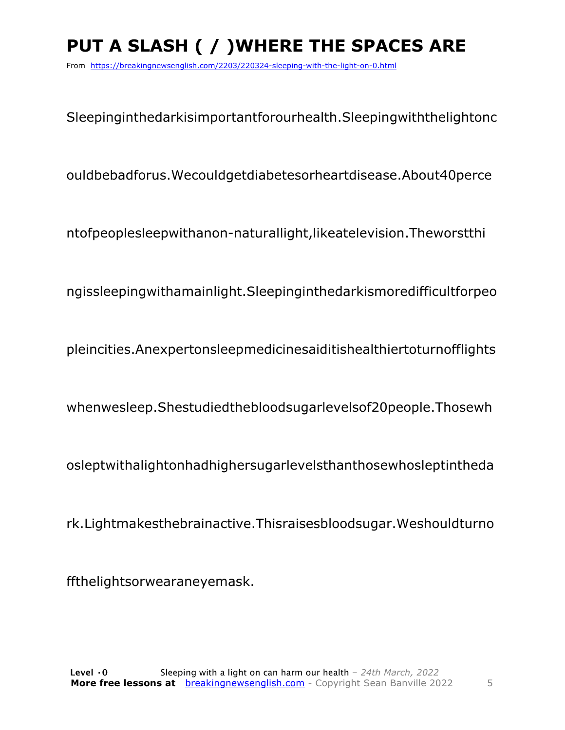### **PUT A SLASH ( / )WHERE THE SPACES ARE**

From https://breakingnewsenglish.com/2203/220324-sleeping-with-the-light-on-0.html

Sleepinginthedarkisimportantforourhealth.Sleepingwiththelightonc

ouldbebadforus.Wecouldgetdiabetesorheartdisease.About40perce

ntofpeoplesleepwithanon-naturallight,likeatelevision.Theworstthi

ngissleepingwithamainlight.Sleepinginthedarkismoredifficultforpeo

pleincities.Anexpertonsleepmedicinesaiditishealthiertoturnofflights

whenwesleep.Shestudiedthebloodsugarlevelsof20people.Thosewh

osleptwithalightonhadhighersugarlevelsthanthosewhosleptintheda

rk.Lightmakesthebrainactive.Thisraisesbloodsugar.Weshouldturno

ffthelightsorwearaneyemask.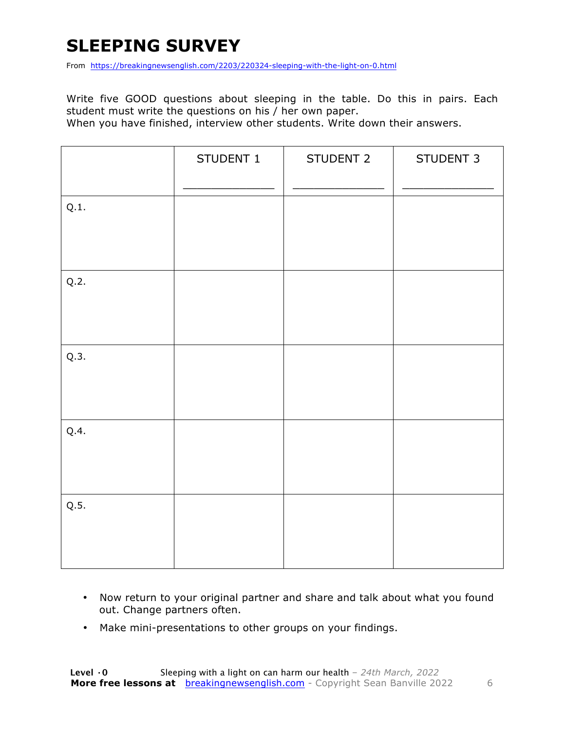### **SLEEPING SURVEY**

From https://breakingnewsenglish.com/2203/220324-sleeping-with-the-light-on-0.html

Write five GOOD questions about sleeping in the table. Do this in pairs. Each student must write the questions on his / her own paper.

When you have finished, interview other students. Write down their answers.

|      | STUDENT 1 | STUDENT 2 | STUDENT 3 |
|------|-----------|-----------|-----------|
| Q.1. |           |           |           |
| Q.2. |           |           |           |
| Q.3. |           |           |           |
| Q.4. |           |           |           |
| Q.5. |           |           |           |

- Now return to your original partner and share and talk about what you found out. Change partners often.
- Make mini-presentations to other groups on your findings.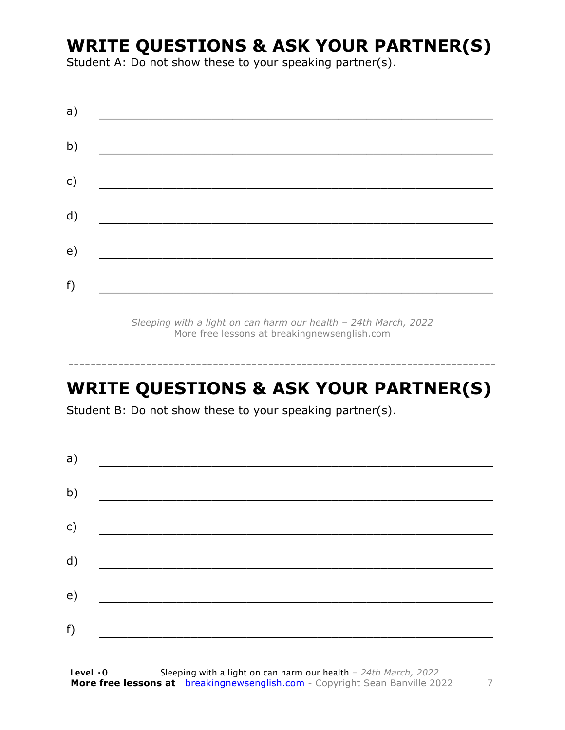### **WRITE QUESTIONS & ASK YOUR PARTNER(S)**

Student A: Do not show these to your speaking partner(s).

*Sleeping with a light on can harm our health – 24th March, 2022* More free lessons at breakingnewsenglish.com

### **WRITE QUESTIONS & ASK YOUR PARTNER(S)**

-----------------------------------------------------------------------------

Student B: Do not show these to your speaking partner(s).

| a) |  |  |
|----|--|--|
| b) |  |  |
| c) |  |  |
| d) |  |  |
| e) |  |  |
| f) |  |  |
|    |  |  |